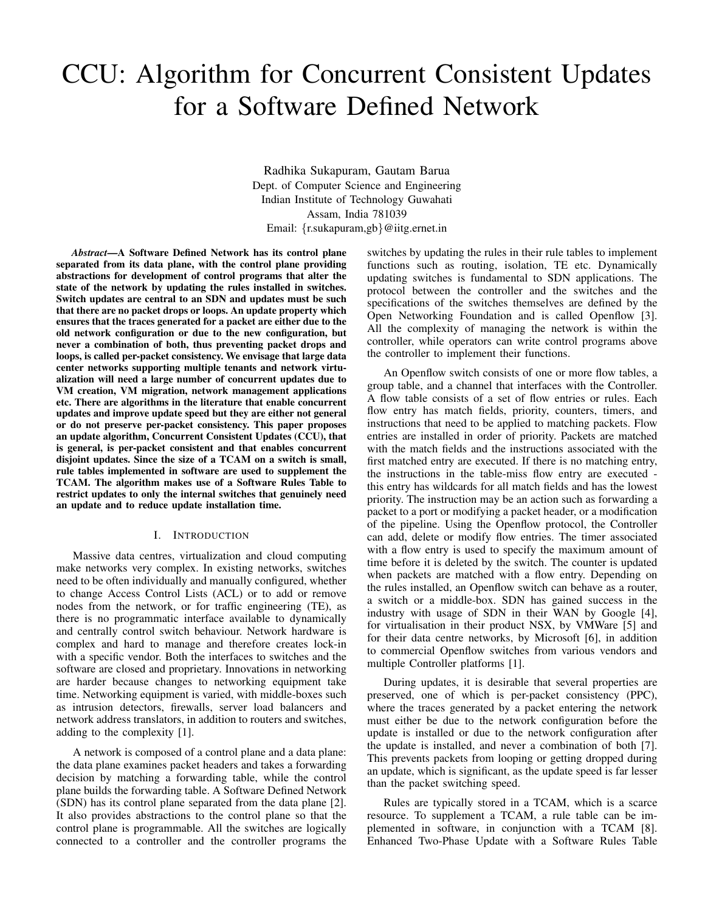# CCU: Algorithm for Concurrent Consistent Updates for a Software Defined Network

Radhika Sukapuram, Gautam Barua Dept. of Computer Science and Engineering Indian Institute of Technology Guwahati Assam, India 781039 Email: {r.sukapuram,gb}@iitg.ernet.in

*Abstract*—A Software Defined Network has its control plane separated from its data plane, with the control plane providing abstractions for development of control programs that alter the state of the network by updating the rules installed in switches. Switch updates are central to an SDN and updates must be such that there are no packet drops or loops. An update property which ensures that the traces generated for a packet are either due to the old network configuration or due to the new configuration, but never a combination of both, thus preventing packet drops and loops, is called per-packet consistency. We envisage that large data center networks supporting multiple tenants and network virtualization will need a large number of concurrent updates due to VM creation, VM migration, network management applications etc. There are algorithms in the literature that enable concurrent updates and improve update speed but they are either not general or do not preserve per-packet consistency. This paper proposes an update algorithm, Concurrent Consistent Updates (CCU), that is general, is per-packet consistent and that enables concurrent disjoint updates. Since the size of a TCAM on a switch is small, rule tables implemented in software are used to supplement the TCAM. The algorithm makes use of a Software Rules Table to restrict updates to only the internal switches that genuinely need an update and to reduce update installation time.

## I. INTRODUCTION

Massive data centres, virtualization and cloud computing make networks very complex. In existing networks, switches need to be often individually and manually configured, whether to change Access Control Lists (ACL) or to add or remove nodes from the network, or for traffic engineering (TE), as there is no programmatic interface available to dynamically and centrally control switch behaviour. Network hardware is complex and hard to manage and therefore creates lock-in with a specific vendor. Both the interfaces to switches and the software are closed and proprietary. Innovations in networking are harder because changes to networking equipment take time. Networking equipment is varied, with middle-boxes such as intrusion detectors, firewalls, server load balancers and network address translators, in addition to routers and switches, adding to the complexity [1].

A network is composed of a control plane and a data plane: the data plane examines packet headers and takes a forwarding decision by matching a forwarding table, while the control plane builds the forwarding table. A Software Defined Network (SDN) has its control plane separated from the data plane [2]. It also provides abstractions to the control plane so that the control plane is programmable. All the switches are logically connected to a controller and the controller programs the switches by updating the rules in their rule tables to implement functions such as routing, isolation, TE etc. Dynamically updating switches is fundamental to SDN applications. The protocol between the controller and the switches and the specifications of the switches themselves are defined by the Open Networking Foundation and is called Openflow [3]. All the complexity of managing the network is within the controller, while operators can write control programs above the controller to implement their functions.

An Openflow switch consists of one or more flow tables, a group table, and a channel that interfaces with the Controller. A flow table consists of a set of flow entries or rules. Each flow entry has match fields, priority, counters, timers, and instructions that need to be applied to matching packets. Flow entries are installed in order of priority. Packets are matched with the match fields and the instructions associated with the first matched entry are executed. If there is no matching entry, the instructions in the table-miss flow entry are executed this entry has wildcards for all match fields and has the lowest priority. The instruction may be an action such as forwarding a packet to a port or modifying a packet header, or a modification of the pipeline. Using the Openflow protocol, the Controller can add, delete or modify flow entries. The timer associated with a flow entry is used to specify the maximum amount of time before it is deleted by the switch. The counter is updated when packets are matched with a flow entry. Depending on the rules installed, an Openflow switch can behave as a router, a switch or a middle-box. SDN has gained success in the industry with usage of SDN in their WAN by Google [4], for virtualisation in their product NSX, by VMWare [5] and for their data centre networks, by Microsoft [6], in addition to commercial Openflow switches from various vendors and multiple Controller platforms [1].

During updates, it is desirable that several properties are preserved, one of which is per-packet consistency (PPC), where the traces generated by a packet entering the network must either be due to the network configuration before the update is installed or due to the network configuration after the update is installed, and never a combination of both [7]. This prevents packets from looping or getting dropped during an update, which is significant, as the update speed is far lesser than the packet switching speed.

Rules are typically stored in a TCAM, which is a scarce resource. To supplement a TCAM, a rule table can be implemented in software, in conjunction with a TCAM [8]. Enhanced Two-Phase Update with a Software Rules Table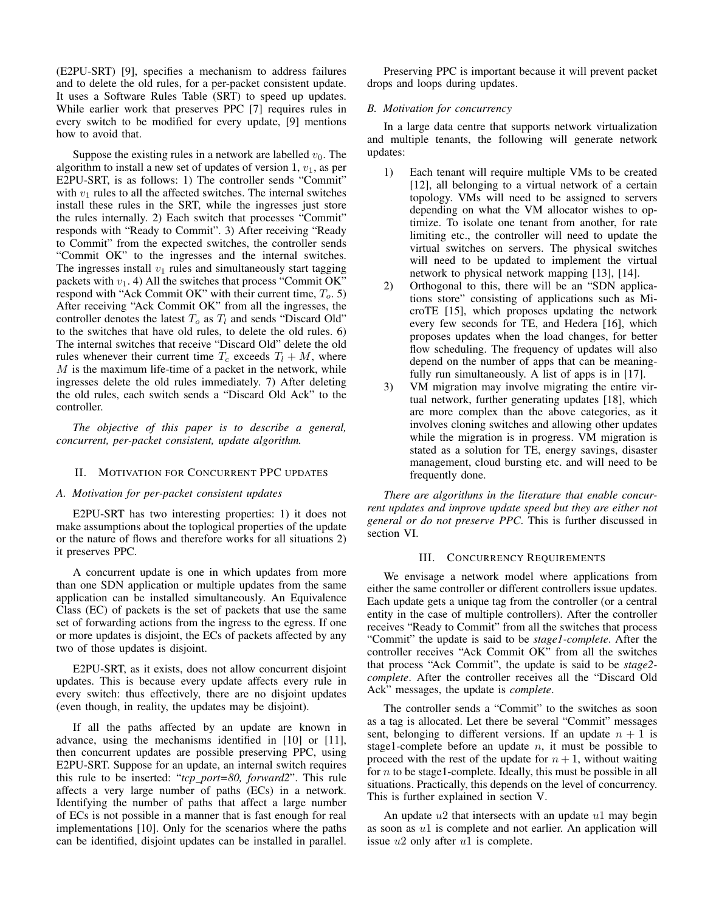(E2PU-SRT) [9], specifies a mechanism to address failures and to delete the old rules, for a per-packet consistent update. It uses a Software Rules Table (SRT) to speed up updates. While earlier work that preserves PPC [7] requires rules in every switch to be modified for every update, [9] mentions how to avoid that.

Suppose the existing rules in a network are labelled  $v_0$ . The algorithm to install a new set of updates of version  $1, v_1$ , as per E2PU-SRT, is as follows: 1) The controller sends "Commit" with  $v_1$  rules to all the affected switches. The internal switches install these rules in the SRT, while the ingresses just store the rules internally. 2) Each switch that processes "Commit" responds with "Ready to Commit". 3) After receiving "Ready to Commit" from the expected switches, the controller sends "Commit OK" to the ingresses and the internal switches. The ingresses install  $v_1$  rules and simultaneously start tagging packets with  $v_1$ . 4) All the switches that process "Commit OK" respond with "Ack Commit OK" with their current time,  $T<sub>o</sub>$ . 5) After receiving "Ack Commit OK" from all the ingresses, the controller denotes the latest  $T<sub>o</sub>$  as  $T<sub>l</sub>$  and sends "Discard Old" to the switches that have old rules, to delete the old rules. 6) The internal switches that receive "Discard Old" delete the old rules whenever their current time  $T_c$  exceeds  $T_l + M$ , where  $M$  is the maximum life-time of a packet in the network, while ingresses delete the old rules immediately. 7) After deleting the old rules, each switch sends a "Discard Old Ack" to the controller.

*The objective of this paper is to describe a general, concurrent, per-packet consistent, update algorithm.*

#### II. MOTIVATION FOR CONCURRENT PPC UPDATES

## *A. Motivation for per-packet consistent updates*

E2PU-SRT has two interesting properties: 1) it does not make assumptions about the toplogical properties of the update or the nature of flows and therefore works for all situations 2) it preserves PPC.

A concurrent update is one in which updates from more than one SDN application or multiple updates from the same application can be installed simultaneously. An Equivalence Class (EC) of packets is the set of packets that use the same set of forwarding actions from the ingress to the egress. If one or more updates is disjoint, the ECs of packets affected by any two of those updates is disjoint.

E2PU-SRT, as it exists, does not allow concurrent disjoint updates. This is because every update affects every rule in every switch: thus effectively, there are no disjoint updates (even though, in reality, the updates may be disjoint).

If all the paths affected by an update are known in advance, using the mechanisms identified in [10] or [11], then concurrent updates are possible preserving PPC, using E2PU-SRT. Suppose for an update, an internal switch requires this rule to be inserted: "*tcp port=80, forward2*". This rule affects a very large number of paths (ECs) in a network. Identifying the number of paths that affect a large number of ECs is not possible in a manner that is fast enough for real implementations [10]. Only for the scenarios where the paths can be identified, disjoint updates can be installed in parallel.

Preserving PPC is important because it will prevent packet drops and loops during updates.

#### *B. Motivation for concurrency*

In a large data centre that supports network virtualization and multiple tenants, the following will generate network updates:

- 1) Each tenant will require multiple VMs to be created [12], all belonging to a virtual network of a certain topology. VMs will need to be assigned to servers depending on what the VM allocator wishes to optimize. To isolate one tenant from another, for rate limiting etc., the controller will need to update the virtual switches on servers. The physical switches will need to be updated to implement the virtual network to physical network mapping [13], [14].
- 2) Orthogonal to this, there will be an "SDN applications store" consisting of applications such as MicroTE [15], which proposes updating the network every few seconds for TE, and Hedera [16], which proposes updates when the load changes, for better flow scheduling. The frequency of updates will also depend on the number of apps that can be meaningfully run simultaneously. A list of apps is in [17].
- 3) VM migration may involve migrating the entire virtual network, further generating updates [18], which are more complex than the above categories, as it involves cloning switches and allowing other updates while the migration is in progress. VM migration is stated as a solution for TE, energy savings, disaster management, cloud bursting etc. and will need to be frequently done.

*There are algorithms in the literature that enable concurrent updates and improve update speed but they are either not general or do not preserve PPC*. This is further discussed in section VI.

## III. CONCURRENCY REQUIREMENTS

We envisage a network model where applications from either the same controller or different controllers issue updates. Each update gets a unique tag from the controller (or a central entity in the case of multiple controllers). After the controller receives "Ready to Commit" from all the switches that process "Commit" the update is said to be *stage1-complete*. After the controller receives "Ack Commit OK" from all the switches that process "Ack Commit", the update is said to be *stage2 complete*. After the controller receives all the "Discard Old Ack" messages, the update is *complete*.

The controller sends a "Commit" to the switches as soon as a tag is allocated. Let there be several "Commit" messages sent, belonging to different versions. If an update  $n + 1$  is stage1-complete before an update  $n$ , it must be possible to proceed with the rest of the update for  $n + 1$ , without waiting for  $n$  to be stage1-complete. Ideally, this must be possible in all situations. Practically, this depends on the level of concurrency. This is further explained in section V.

An update  $u_1$  that intersects with an update  $u_1$  may begin as soon as  $u1$  is complete and not earlier. An application will issue  $u^2$  only after  $u^1$  is complete.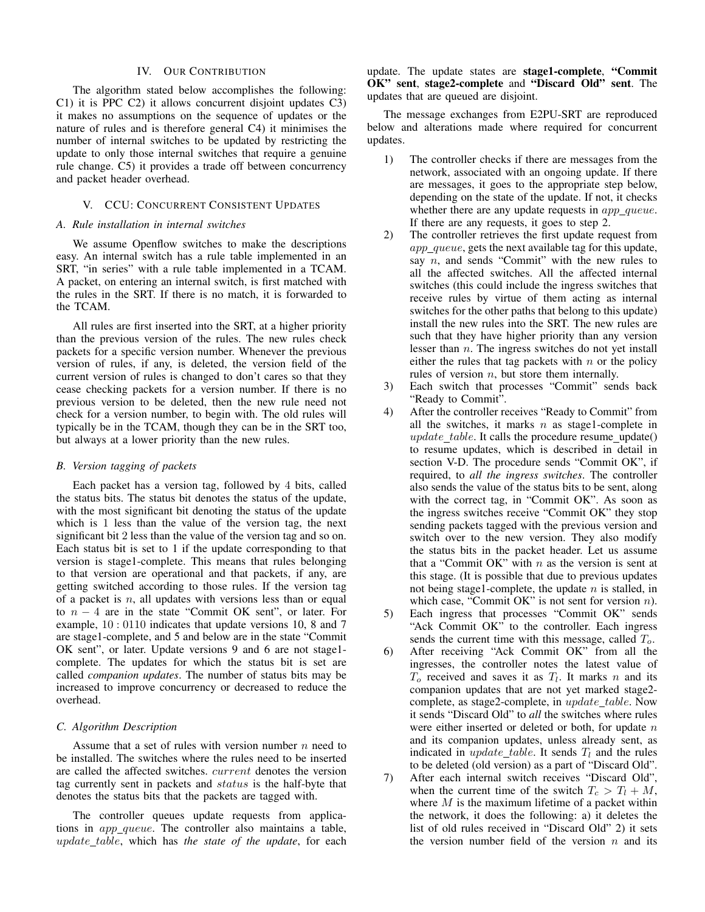## IV. OUR CONTRIBUTION

The algorithm stated below accomplishes the following: C1) it is PPC C2) it allows concurrent disjoint updates C3) it makes no assumptions on the sequence of updates or the nature of rules and is therefore general C4) it minimises the number of internal switches to be updated by restricting the update to only those internal switches that require a genuine rule change. C5) it provides a trade off between concurrency and packet header overhead.

# V. CCU: CONCURRENT CONSISTENT UPDATES

#### *A. Rule installation in internal switches*

We assume Openflow switches to make the descriptions easy. An internal switch has a rule table implemented in an SRT, "in series" with a rule table implemented in a TCAM. A packet, on entering an internal switch, is first matched with the rules in the SRT. If there is no match, it is forwarded to the TCAM.

All rules are first inserted into the SRT, at a higher priority than the previous version of the rules. The new rules check packets for a specific version number. Whenever the previous version of rules, if any, is deleted, the version field of the current version of rules is changed to don't cares so that they cease checking packets for a version number. If there is no previous version to be deleted, then the new rule need not check for a version number, to begin with. The old rules will typically be in the TCAM, though they can be in the SRT too, but always at a lower priority than the new rules.

#### *B. Version tagging of packets*

Each packet has a version tag, followed by 4 bits, called the status bits. The status bit denotes the status of the update, with the most significant bit denoting the status of the update which is 1 less than the value of the version tag, the next significant bit 2 less than the value of the version tag and so on. Each status bit is set to 1 if the update corresponding to that version is stage1-complete. This means that rules belonging to that version are operational and that packets, if any, are getting switched according to those rules. If the version tag of a packet is  $n$ , all updates with versions less than or equal to  $n - 4$  are in the state "Commit OK sent", or later. For example, 10 : 0110 indicates that update versions 10, 8 and 7 are stage1-complete, and 5 and below are in the state "Commit OK sent", or later. Update versions 9 and 6 are not stage1 complete. The updates for which the status bit is set are called *companion updates*. The number of status bits may be increased to improve concurrency or decreased to reduce the overhead.

## *C. Algorithm Description*

Assume that a set of rules with version number  $n$  need to be installed. The switches where the rules need to be inserted are called the affected switches. current denotes the version tag currently sent in packets and status is the half-byte that denotes the status bits that the packets are tagged with.

The controller queues update requests from applications in app\_queue. The controller also maintains a table, update\_table, which has the state of the update, for each update. The update states are stage1-complete, "Commit OK" sent, stage2-complete and "Discard Old" sent. The updates that are queued are disjoint.

The message exchanges from E2PU-SRT are reproduced below and alterations made where required for concurrent updates.

- 1) The controller checks if there are messages from the network, associated with an ongoing update. If there are messages, it goes to the appropriate step below, depending on the state of the update. If not, it checks whether there are any update requests in app\_queue. If there are any requests, it goes to step 2.
- 2) The controller retrieves the first update request from  $app\_queue$ , gets the next available tag for this update, say  $n$ , and sends "Commit" with the new rules to all the affected switches. All the affected internal switches (this could include the ingress switches that receive rules by virtue of them acting as internal switches for the other paths that belong to this update) install the new rules into the SRT. The new rules are such that they have higher priority than any version lesser than n. The ingress switches do not yet install either the rules that tag packets with  $n$  or the policy rules of version  $n$ , but store them internally.
- 3) Each switch that processes "Commit" sends back "Ready to Commit".
- 4) After the controller receives "Ready to Commit" from all the switches, it marks  $n$  as stage1-complete in  $update\_table$ . It calls the procedure resume\_update() to resume updates, which is described in detail in section V-D. The procedure sends "Commit OK", if required, to *all the ingress switches*. The controller also sends the value of the status bits to be sent, along with the correct tag, in "Commit OK". As soon as the ingress switches receive "Commit OK" they stop sending packets tagged with the previous version and switch over to the new version. They also modify the status bits in the packet header. Let us assume that a "Commit OK" with  $n$  as the version is sent at this stage. (It is possible that due to previous updates not being stage1-complete, the update  $n$  is stalled, in which case, "Commit OK" is not sent for version *n*).
- 5) Each ingress that processes "Commit OK" sends "Ack Commit OK" to the controller. Each ingress sends the current time with this message, called  $T<sub>o</sub>$ .
- 6) After receiving "Ack Commit OK" from all the ingresses, the controller notes the latest value of  $T<sub>o</sub>$  received and saves it as  $T<sub>l</sub>$ . It marks n and its companion updates that are not yet marked stage2 complete, as stage2-complete, in update\_table. Now it sends "Discard Old" to *all* the switches where rules were either inserted or deleted or both, for update  $n$ and its companion updates, unless already sent, as indicated in  $update\_table$ . It sends  $T_l$  and the rules to be deleted (old version) as a part of "Discard Old".
- 7) After each internal switch receives "Discard Old", when the current time of the switch  $T_c > T_l + M$ , where  $M$  is the maximum lifetime of a packet within the network, it does the following: a) it deletes the list of old rules received in "Discard Old" 2) it sets the version number field of the version  $n$  and its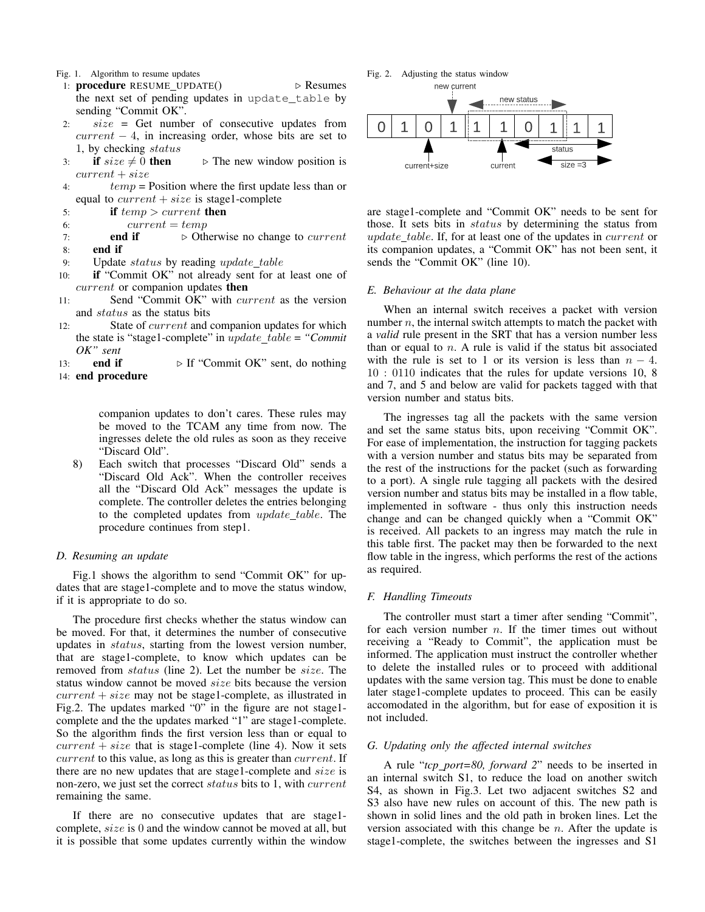- Fig. 1. Algorithm to resume updates
- 1: **procedure** RESUME\_UPDATE()  $\triangleright$  Resumes the next set of pending updates in update\_table by sending "Commit OK".
- 2: size = Get number of consecutive updates from  $current - 4$ , in increasing order, whose bits are set to 1, by checking status
- 3: if  $size \neq 0$  then  $\triangleright$  The new window position is  $current + size$
- 4:  $temp = Position where the first update less than or$ equal to  $current + size$  is stage1-complete
- 5: **if**  $temp > current$  **then**
- 6:  $current = temp$
- 7: **end if**  $\triangleright$  Otherwise no change to *current* 8: end if
- 9: Update status by reading update\_table
- 10: if "Commit OK" not already sent for at least one of current or companion updates then
- 11: Send "Commit OK" with current as the version and status as the status bits
- 12: State of current and companion updates for which the state is "stage1-complete" in  $update\_table = "Commit$ *OK" sent*
- 13: **end if**  $\triangleright$  If "Commit OK" sent, do nothing
- 14: end procedure

companion updates to don't cares. These rules may be moved to the TCAM any time from now. The ingresses delete the old rules as soon as they receive "Discard Old".

8) Each switch that processes "Discard Old" sends a "Discard Old Ack". When the controller receives all the "Discard Old Ack" messages the update is complete. The controller deletes the entries belonging to the completed updates from  $update\_table$ . The procedure continues from step1.

# *D. Resuming an update*

Fig.1 shows the algorithm to send "Commit OK" for updates that are stage1-complete and to move the status window, if it is appropriate to do so.

The procedure first checks whether the status window can be moved. For that, it determines the number of consecutive updates in status, starting from the lowest version number, that are stage1-complete, to know which updates can be removed from status (line 2). Let the number be size. The status window cannot be moved size bits because the version  $current + size$  may not be stage1-complete, as illustrated in Fig.2. The updates marked "0" in the figure are not stage1 complete and the the updates marked "1" are stage1-complete. So the algorithm finds the first version less than or equal to  $current + size$  that is stage1-complete (line 4). Now it sets current to this value, as long as this is greater than current. If there are no new updates that are stage1-complete and size is non-zero, we just set the correct status bits to 1, with current remaining the same.

If there are no consecutive updates that are stage1 complete, size is 0 and the window cannot be moved at all, but it is possible that some updates currently within the window





are stage1-complete and "Commit OK" needs to be sent for those. It sets bits in status by determining the status from update table. If, for at least one of the updates in current or its companion updates, a "Commit OK" has not been sent, it sends the "Commit OK" (line 10).

## *E. Behaviour at the data plane*

When an internal switch receives a packet with version number  $n$ , the internal switch attempts to match the packet with a *valid* rule present in the SRT that has a version number less than or equal to  $n$ . A rule is valid if the status bit associated with the rule is set to 1 or its version is less than  $n - 4$ . 10 : 0110 indicates that the rules for update versions 10, 8 and 7, and 5 and below are valid for packets tagged with that version number and status bits.

The ingresses tag all the packets with the same version and set the same status bits, upon receiving "Commit OK". For ease of implementation, the instruction for tagging packets with a version number and status bits may be separated from the rest of the instructions for the packet (such as forwarding to a port). A single rule tagging all packets with the desired version number and status bits may be installed in a flow table, implemented in software - thus only this instruction needs change and can be changed quickly when a "Commit OK" is received. All packets to an ingress may match the rule in this table first. The packet may then be forwarded to the next flow table in the ingress, which performs the rest of the actions as required.

## *F. Handling Timeouts*

The controller must start a timer after sending "Commit", for each version number  $n$ . If the timer times out without receiving a "Ready to Commit", the application must be informed. The application must instruct the controller whether to delete the installed rules or to proceed with additional updates with the same version tag. This must be done to enable later stage1-complete updates to proceed. This can be easily accomodated in the algorithm, but for ease of exposition it is not included.

# *G. Updating only the affected internal switches*

A rule "*tcp port=80, forward 2*" needs to be inserted in an internal switch S1, to reduce the load on another switch S4, as shown in Fig.3. Let two adjacent switches S2 and S3 also have new rules on account of this. The new path is shown in solid lines and the old path in broken lines. Let the version associated with this change be  $n$ . After the update is stage1-complete, the switches between the ingresses and S1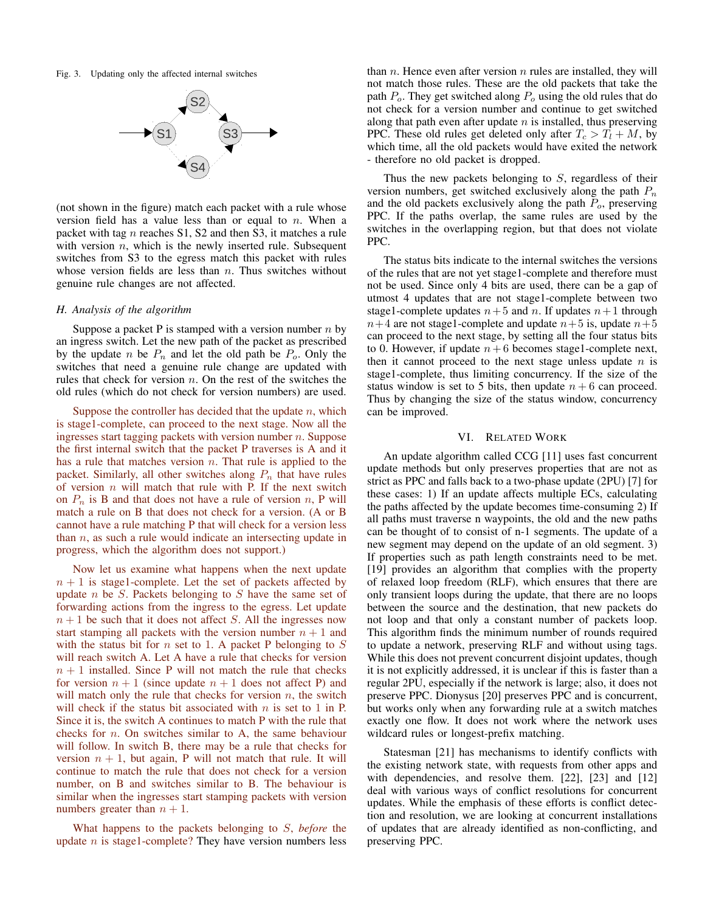Fig. 3. Updating only the affected internal switches



(not shown in the figure) match each packet with a rule whose version field has a value less than or equal to  $n$ . When a packet with tag  $n$  reaches S1, S2 and then S3, it matches a rule with version  $n$ , which is the newly inserted rule. Subsequent switches from S3 to the egress match this packet with rules whose version fields are less than  $n$ . Thus switches without genuine rule changes are not affected.

## *H. Analysis of the algorithm*

Suppose a packet P is stamped with a version number  $n$  by an ingress switch. Let the new path of the packet as prescribed by the update *n* be  $P_n$  and let the old path be  $P_o$ . Only the switches that need a genuine rule change are updated with rules that check for version  $n$ . On the rest of the switches the old rules (which do not check for version numbers) are used.

Suppose the controller has decided that the update  $n$ , which is stage1-complete, can proceed to the next stage. Now all the ingresses start tagging packets with version number  $n$ . Suppose the first internal switch that the packet P traverses is A and it has a rule that matches version  $n$ . That rule is applied to the packet. Similarly, all other switches along  $P_n$  that have rules of version  $n$  will match that rule with P. If the next switch on  $P_n$  is B and that does not have a rule of version n, P will match a rule on B that does not check for a version. (A or B cannot have a rule matching P that will check for a version less than  $n$ , as such a rule would indicate an intersecting update in progress, which the algorithm does not support.)

Now let us examine what happens when the next update  $n + 1$  is stage1-complete. Let the set of packets affected by update  $n$  be  $S$ . Packets belonging to  $S$  have the same set of forwarding actions from the ingress to the egress. Let update  $n + 1$  be such that it does not affect S. All the ingresses now start stamping all packets with the version number  $n + 1$  and with the status bit for  $n$  set to 1. A packet P belonging to  $S$ will reach switch A. Let A have a rule that checks for version  $n + 1$  installed. Since P will not match the rule that checks for version  $n + 1$  (since update  $n + 1$  does not affect P) and will match only the rule that checks for version  $n$ , the switch will check if the status bit associated with  $n$  is set to 1 in P. Since it is, the switch A continues to match P with the rule that checks for n. On switches similar to A, the same behaviour will follow. In switch B, there may be a rule that checks for version  $n + 1$ , but again, P will not match that rule. It will continue to match the rule that does not check for a version number, on B and switches similar to B. The behaviour is similar when the ingresses start stamping packets with version numbers greater than  $n + 1$ .

What happens to the packets belonging to S, *before* the update  $n$  is stage1-complete? They have version numbers less

than  $n$ . Hence even after version  $n$  rules are installed, they will not match those rules. These are the old packets that take the path  $P<sub>o</sub>$ . They get switched along  $P<sub>o</sub>$  using the old rules that do not check for a version number and continue to get switched along that path even after update  $n$  is installed, thus preserving PPC. These old rules get deleted only after  $T_c > T_l + M$ , by which time, all the old packets would have exited the network - therefore no old packet is dropped.

Thus the new packets belonging to S, regardless of their version numbers, get switched exclusively along the path  $P_n$ and the old packets exclusively along the path  $P<sub>o</sub>$ , preserving PPC. If the paths overlap, the same rules are used by the switches in the overlapping region, but that does not violate PPC.

The status bits indicate to the internal switches the versions of the rules that are not yet stage1-complete and therefore must not be used. Since only 4 bits are used, there can be a gap of utmost 4 updates that are not stage1-complete between two stage1-complete updates  $n+5$  and n. If updates  $n+1$  through  $n+4$  are not stage1-complete and update  $n+5$  is, update  $n+5$ can proceed to the next stage, by setting all the four status bits to 0. However, if update  $n+6$  becomes stage1-complete next, then it cannot proceed to the next stage unless update  $n$  is stage1-complete, thus limiting concurrency. If the size of the status window is set to 5 bits, then update  $n + 6$  can proceed. Thus by changing the size of the status window, concurrency can be improved.

## VI. RELATED WORK

An update algorithm called CCG [11] uses fast concurrent update methods but only preserves properties that are not as strict as PPC and falls back to a two-phase update (2PU) [7] for these cases: 1) If an update affects multiple ECs, calculating the paths affected by the update becomes time-consuming 2) If all paths must traverse n waypoints, the old and the new paths can be thought of to consist of n-1 segments. The update of a new segment may depend on the update of an old segment. 3) If properties such as path length constraints need to be met. [19] provides an algorithm that complies with the property of relaxed loop freedom (RLF), which ensures that there are only transient loops during the update, that there are no loops between the source and the destination, that new packets do not loop and that only a constant number of packets loop. This algorithm finds the minimum number of rounds required to update a network, preserving RLF and without using tags. While this does not prevent concurrent disjoint updates, though it is not explicitly addressed, it is unclear if this is faster than a regular 2PU, especially if the network is large; also, it does not preserve PPC. Dionysus [20] preserves PPC and is concurrent, but works only when any forwarding rule at a switch matches exactly one flow. It does not work where the network uses wildcard rules or longest-prefix matching.

Statesman [21] has mechanisms to identify conflicts with the existing network state, with requests from other apps and with dependencies, and resolve them. [22], [23] and [12] deal with various ways of conflict resolutions for concurrent updates. While the emphasis of these efforts is conflict detection and resolution, we are looking at concurrent installations of updates that are already identified as non-conflicting, and preserving PPC.